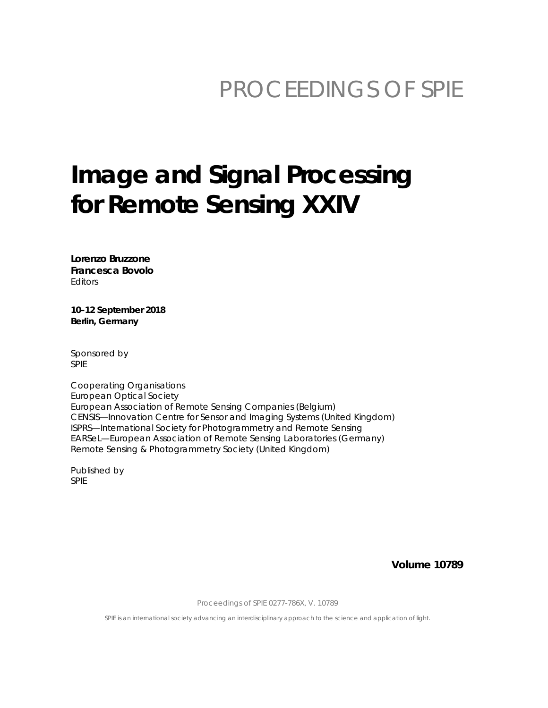## PROCEEDINGS OF SPIE

# **Image and Signal Processing** for Remote Sensing XXIV

Lorenzo Bruzzone **Francesca Bovolo** Editors

10-12 September 2018 Berlin, Germany

Sponsored by **SPIE** 

Cooperating Organisations **European Optical Society** European Association of Remote Sensing Companies (Belgium) CENSIS-Innovation Centre for Sensor and Imaging Systems (United Kingdom) ISPRS-International Society for Photogrammetry and Remote Sensing EARSeL—European Association of Remote Sensing Laboratories (Germany) Remote Sensing & Photogrammetry Society (United Kingdom)

Published by **SPIE** 

**Volume 10789** 

Proceedings of SPIE 0277-786X, V. 10789

SPIE is an international society advancing an interdisciplinary approach to the science and application of light.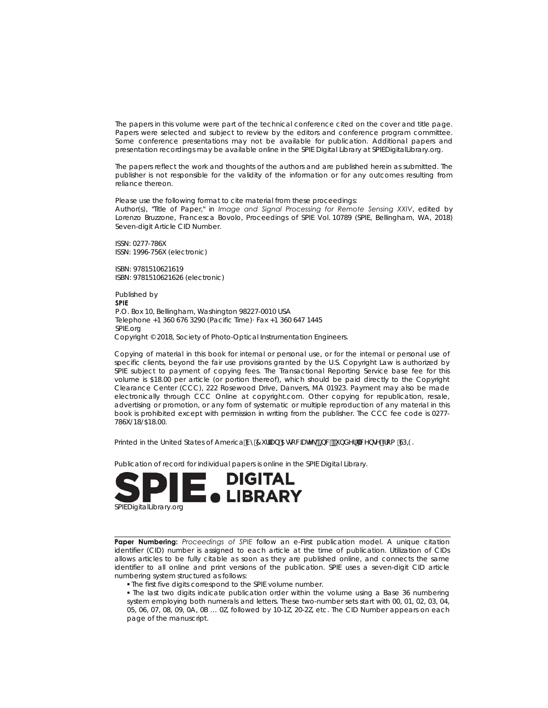The papers in this volume were part of the technical conference cited on the cover and title page. Papers were selected and subject to review by the editors and conference program committee. Some conference presentations may not be available for publication. Additional papers and presentation recordings may be available online in the SPIE Digital Library at SPIEDigitalLibrary.org.

The papers reflect the work and thoughts of the authors and are published herein as submitted. The publisher is not responsible for the validity of the information or for any outcomes resulting from reliance thereon.

Please use the following format to cite material from these proceedings: Author(s), "Title of Paper," in *Image and Signal Processing for Remote Sensing XXIV*, edited by Lorenzo Bruzzone, Francesca Bovolo, Proceedings of SPIE Vol. 10789 (SPIE, Bellingham, WA, 2018) Seven-digit Article CID Number.

ISSN: 0277-786X ISSN: 1996-756X (electronic)

ISBN: 9781510621619 ISBN: 9781510621626 (electronic)

Published by **SPIE**  P.O. Box 10, Bellingham, Washington 98227-0010 USA Telephone +1 360 676 3290 (Pacific Time)· Fax +1 360 647 1445 SPIE.org Copyright © 2018, Society of Photo-Optical Instrumentation Engineers.

Copying of material in this book for internal or personal use, or for the internal or personal use of specific clients, beyond the fair use provisions granted by the U.S. Copyright Law is authorized by SPIE subject to payment of copying fees. The Transactional Reporting Service base fee for this volume is \$18.00 per article (or portion thereof), which should be paid directly to the Copyright Clearance Center (CCC), 222 Rosewood Drive, Danvers, MA 01923. Payment may also be made electronically through CCC Online at copyright.com. Other copying for republication, resale, advertising or promotion, or any form of systematic or multiple reproduction of any material in this book is prohibited except with permission in writing from the publisher. The CCC fee code is 0277- 786X/18/\$18.00.

Printed in the United States of America Vm7 i ffUb 5 gp WUH g bWzi bXYf 'W bg Y Tra GD 9.

Publication of record for individual papers is online in the SPIE Digital Library.



**Paper Numbering:** *Proceedings of SPIE* follow an e-First publication model. A unique citation identifier (CID) number is assigned to each article at the time of publication. Utilization of CIDs allows articles to be fully citable as soon as they are published online, and connects the same identifier to all online and print versions of the publication. SPIE uses a seven-digit CID article numbering system structured as follows:

- The first five digits correspond to the SPIE volume number.
- The last two digits indicate publication order within the volume using a Base 36 numbering system employing both numerals and letters. These two-number sets start with 00, 01, 02, 03, 04, 05, 06, 07, 08, 09, 0A, 0B … 0Z, followed by 10-1Z, 20-2Z, etc. The CID Number appears on each page of the manuscript.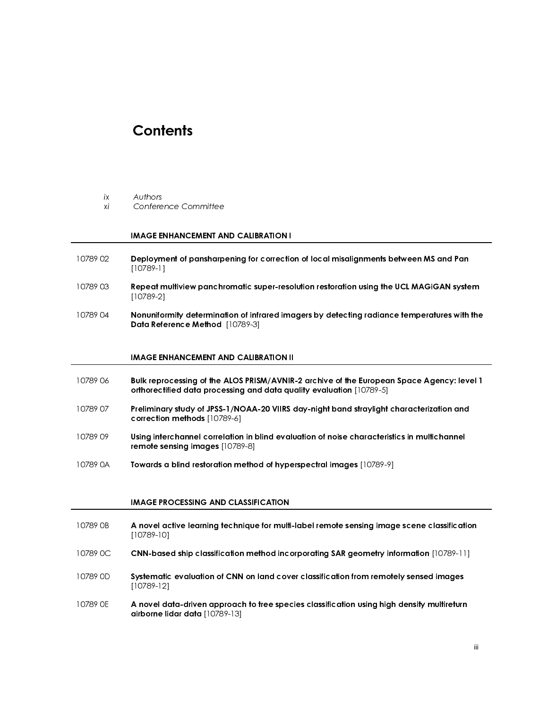### **Contents**

Authors

 

 

#### IMAGE ENHANCEMENT AND CALIBRATION I

- $x_i$ <br>  $x_i$ <br>  $\therefore$  Confere<br>
IMAGE E<br>
10789 02<br> **IMAGE E**<br>
10789 03<br> **Repeat r**<br>  $[10789-2]$ <br>
10789 04<br> **Nonunifo**<br>
Data Ref<br>
IMAGE E<br>
IMAGE E<br>
10789 06<br>
Bulk reprothorectic<br>
10789 07<br> **Prelimine correctic<br>
10789 09<br>
Using** 10789 02 Deployment of pansharpening for correction of local misalignments between MS and Pan<br>
[0789-1]<br>
Repeat multiview panchromatic super-resolution restoration sing the UCL MAGIGAN system<br>
[0789-12]<br>
10789 02 Definite
- 
- 

#### IMAGE ENHANCEMENT AND CALIBRATION II

- 10789 03 Repeat multiview panchromatic super-resolution restoration sung the UCL MAGiGAN system<br>
10789 03 Republicantly determinedian of infrared images by detecting radiance temperatures with the<br>
Data Reference Method 10 10789 04 Nonetal method in the distribution of infrared imagers by detecting radiance temperatures with the<br>
10789 06 NoNce ERNANGEMENT AND CALIBRATION II<br>
10789 06 Chronecating of the ALOS RESMANAVIR.2 archive of the Eur 10789 06 Bulk reprocessing of the ALOS PRISM/AVNIR-2 archive of the European Space Agency; level 1<br>
10789 07 Preliminary study of JPSS-1/NOAA-20 VIIRS day-night band straylight characterization and<br>
correction methods [10
- 
- 
- 

#### IMAGE PROCESSING AND CLASSIFICATION

- 
- 
- MAGE ENHANCEMENT AN<br>
10789 02 Deployment of pansharpy<br>
[10789-1]<br>
10789 03 Repeat multiview panchric<br>
10789-2]<br>
10789 04 Nonuniformity determinat<br>
Data Reference Method<br>
MAGE ENHANCEMENT AN<br>
10789 06 Bulk reprocessing of Repeat m<br>
[10789-2]<br>
Nonunifor<br>
Data Refe<br>
MAGE EN<br>
Bulk reprodition<br>
Fleliminal<br>
correction<br>
Using interemete se<br>
Towards c<br>
MAGE PR<br>
A novel a<br>
[10789-10<br>
CNN-base<br>
Systemati<br>
[10789-12<br>
A novel a<br>
diborne l Nonunifor<br>Data Refe<br>Mall reproduction<br>Bulk reproduction<br>Preliminary<br>Using interests of Davards converts<br>MAGE PR<br>A novel a<br>[10789-10<br>CNN-bass<br>Systemati<br>[10789-12<br>A novel d<br>airborne l Data Reference Method [10789-3]<br>
IMAGE ENHANCEMENT AND CALIBF<br>
Bulk reprocessing of the ALOS PRIS<br>
orthorectified data processing and<br>
Preliminary study of JPSS-1/NOAA-:<br>
correction methods [10789-6]<br>
Using interchannel co orthorectified data processing and data quality evaluation [10789-5]<br>Preliminary study of JPSS-1/NOAA-20 VIIRS day-night band straylight<br>correction methods [10789-6]<br>Using interchannel correlation in blind evaluation of no 10789 07 Preliming study of JPSS-1/NOAA-20 VIIRS day-night band straylight characterization and<br>
10789 09 Using interchannel correlation in blind evaluation of noise characteristics in multichannel<br>
10789 08 Using interch correction methods [10789-6]<br>Using interchannel correlation<br>remote sensing images [10789<br>Towards a blind restoration methods and restoration methods<br>IMAGE PROCESSING AND CLA<br>A novel active learning techn<br>[10789-10]<br>CNN-bas 10789 09 Using interchannel correlation in bilind evaluation of noise characteristics in multichannel<br>
10789 0A Towards a blind restoration method of hyperspectral images  $[107899]$ <br>
10789 08 Anovel active learning lechni remote sensing images [10789-8]<br>Towards a blind restoration metho<br>IMAGE PROCESSING AND CLASSIF<br>A novel active learning technique<br>[10789-10]<br>CNN-based ship classification me<br>Systematic evaluation of CNN on<br>[10789-12]<br>A nove 10789 0A Towards a blind restoration method of hyperspectral images  $[10789-9]$ <br>
IMAGE PROCESSING AND CLASSIFICATION<br>
10789 08 A novel active learning technique for multi-label remote sensing imag<br>  $[10789\text{-}10]$ <br>
CNN-ba 10789 0B A novel active learning technique for multi-label remote sensing image scene classification<br>
10789 0C<br>
CNN-based ship classification method incorporating SAR geometry information [10789-11]<br>
10789 0D<br>
Systematic CNN-base<br>Systematic<br>[10789-12]<br>A novel da<br>airborne lic 10789 0C CNN-based ship classification method incorporating SAR geometry information  $[10789 \cdot 11]$ <br>
10789 0D Systematic evaluation of CNN on land cover classification from remotely sensed images<br>
10789 0E A novel data-dr 10789 0D Systematic evaluation of CNN on land cover classification from remotely sensed images<br>  $[10789 \cdot 12]$ <br>
10789 0E A novel data-driven approach to tree species classification using high density multireturr<br>
airborne
- A novel da<br>A novel da<br>airborne lic 10789 0E  $\blacksquare$  A novel data-driven approach to tree species classification using high density multireturn airborne lidar data  $[10789\text{-}13]$ airborne lidar data [10789-13]<br>|-<br>|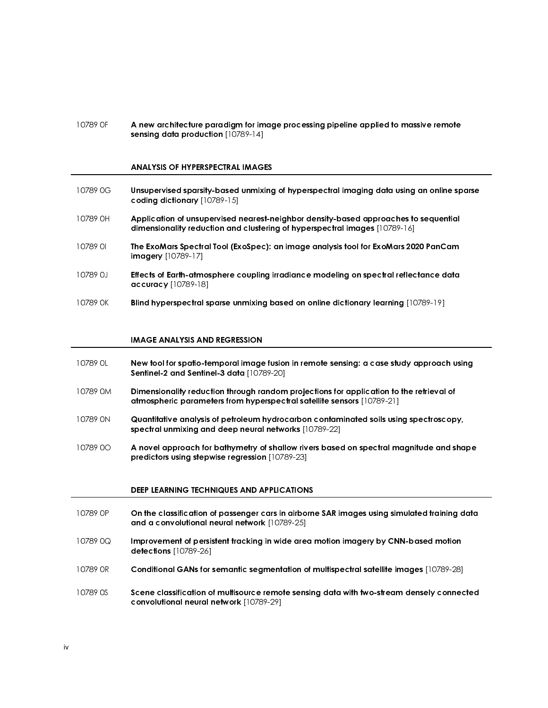10789 0F A new architecture paradigm for image processing pipeline applied to massive remote sensing data production [10789-14]

#### ANALYSIS OF HYPERSPECTRAL IMAGES

- 10789 0G Unsupervised sparsity-based unmixing of hyperspectral imaging data using an online sparse coding dictionary [10789-15] 10789 0H Application of unsupervised nearest-neighbor density-based approaches to sequential dimensionality reduction and clustering of hyperspectral images [10789-16] 10789 0I The ExoMars Spectral Tool (ExoSpec): an image analysis tool for ExoMars 2020 PanCam imagery [10789-17] 10789 0J Effects of Earth-atmosphere coupling irradiance modeling on spectral reflectance data accuracy [10789-18]
- 10789 0K Blind hyperspectral sparse unmixing based on online dictionary learning [10789-19]

#### IMAGE ANALYSIS AND REGRESSION

- 10789 0L New tool for spatio-temporal image fusion in remote sensing: a case study approach using Sentinel-2 and Sentinel-3 data [10789-20]
- 10789 0M Dimensionality reduction through random projections for application to the retrieval of atmospheric parameters from hyperspectral satellite sensors [10789-21]
- 10789 0N Quantitative analysis of petroleum hydrocarbon contaminated soils using spectroscopy, spectral unmixing and deep neural networks [10789-22]
- 10789 00 A novel approach for bathymetry of shallow rivers based on spectral magnitude and shape predictors using stepwise regression [10789-23]

#### DEEP LEARNING TECHNIQUES AND APPLICATIONS

- 10789 OP On the classification of passenger cars in airborne SAR images using simulated training data and a convolutional neural network [10789-25]
- 10789 0Q Improvement of persistent tracking in wide area motion imagery by CNN-based motion detections [10789-26]
- 10789 0R Conditional GANs for semantic segmentation of multispectral satellite images [10789-28]
- 10789 0S Scene classification of multisource remote sensing data with two-stream densely connected convolutional neural network [10789-29]

j

-

j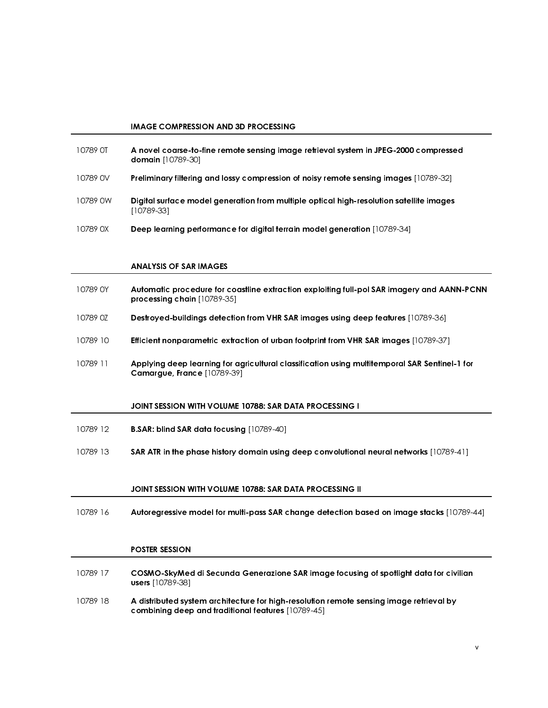#### IMAGE COMPRESSION AND 3D PROCESSING

- 10789 0T A novel coarse-to-fine remote sensing image retrieval system in JPEG-2000 compressed domain [10789-30]
- 10789 0V Preliminary filtering and lossy compression of noisy remote sensing images [10789-32]
- 10789 0W Digital surface model generation from multiple optical high-resolution satellite images [10789-33]
- 10789 0X Deep learning performance for digital terrain model generation [10789-34]

#### ANALYSIS OF SAR IMAGES

j

-

j

j

j

- 10789 0Y Automatic procedure for coastline extraction exploiting full-pol SAR imagery and AANN-PCNN processing chain [10789-35]
- 10789 0Z Destroyed-buildings detection from VHR SAR images using deep features [10789-36]
- 10789 10 Efficient nonparametric extraction of urban footprint from VHR SAR images [10789-37]
- 10789 11 Applying deep learning for agricultural classification using multitemporal SAR Sentinel-1 for Camargue, France [10789-39]

#### JOINT SESSION WITH VOLUME 10788: SAR DATA PROCESSING I

- 10789 12 B.SAR: blind SAR data focusing [10789-40]
- 10789 13 SAR ATR in the phase history domain using deep convolutional neural networks [10789-41]

#### JOINT SESSION WITH VOLUME 10788: SAR DATA PROCESSING II

10789 16 Autoregressive model for multi-pass SAR change detection based on image stacks [10789-44]

#### POSTER SESSION

- 10789 17 COSMO-SkyMed di Secunda Generazione SAR image focusing of spotlight data for civilian users [10789-38]
- 10789 18 A distributed system architecture for high-resolution remote sensing image retrieval by combining deep and traditional features [10789-45]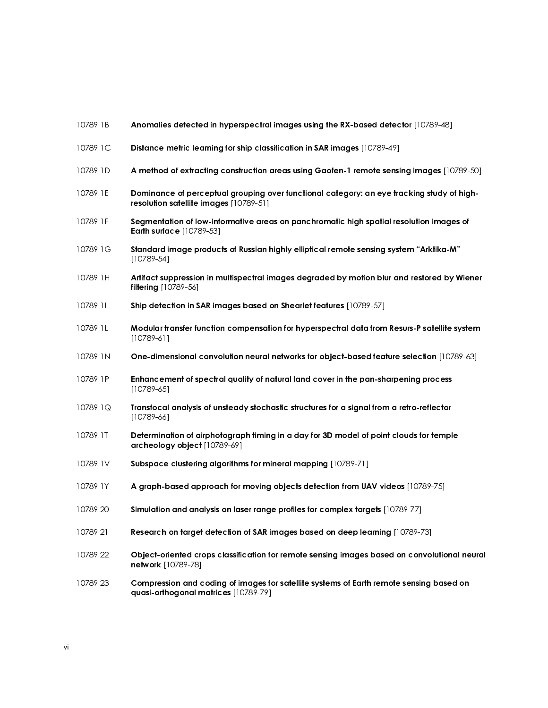| 10789 1B | Anomalies detected in hyperspectral images using the RX-based detector [10789-48]                                                   |
|----------|-------------------------------------------------------------------------------------------------------------------------------------|
| 10789 IC | Distance metric learning for ship classification in SAR images [10789-49]                                                           |
| 10789 1D | A method of extracting construction areas using Gaoten-1 remote sensing images [10789-50]                                           |
| 10789 1E | Dominance of perceptual grouping over functional category: an eye tracking study of high-<br>resolution satellite images [10789-51] |
| 10789 1F | Segmentation of low-informative areas on panchromatic high spatial resolution images of<br><b>Earth surface [10789-53]</b>          |
| 10789 IG | Standard image products of Russian highly elliptical remote sensing system "Arktika-M"<br>$[10789 - 54]$                            |
| 10789 1H | Artifact suppression in multispectral images degraded by motion blur and restored by Wiener<br>filtering [10789-56]                 |
| 10789 11 | Ship detection in SAR images based on Shearlet features [10789-57]                                                                  |
| 10789 1L | Modular transfer function compensation for hyperspectral data from Resurs-P satellite system<br>$[10789 - 61]$                      |
| 10789 IN | One-dimensional convolution neural networks for object-based feature selection [10789-63]                                           |
| 10789 1P | Enhancement of spectral quality of natural land cover in the pan-sharpening process<br>$[10789 - 65]$                               |
| 10789 1Q | Transfocal analysis of unsteady stochastic structures for a signal from a retro-reflector<br>$[10789 - 66]$                         |
| 10789 1T | Determination of airphotograph timing in a day for 3D model of point clouds for temple<br>archeology object [10789-69]              |
| 10789 1V | Subspace clustering algorithms for mineral mapping [10789-71]                                                                       |
| 10789 1Y | A graph-based approach for moving objects detection from UAV videos [10789-75]                                                      |
| 10789 20 | Simulation and analysis on laser range profiles for complex targets [10789-77]                                                      |
| 10789 21 | Research on target detection of SAR images based on deep learning [10789-73]                                                        |
| 10789 22 | Object-oriented crops classification for remote sensing images based on convolutional neural<br>network [10789-78]                  |
| 10789 23 | Compression and coding of images for satellite systems of Earth remote sensing based on<br>quasi-orthogonal matrices [10789-79]     |